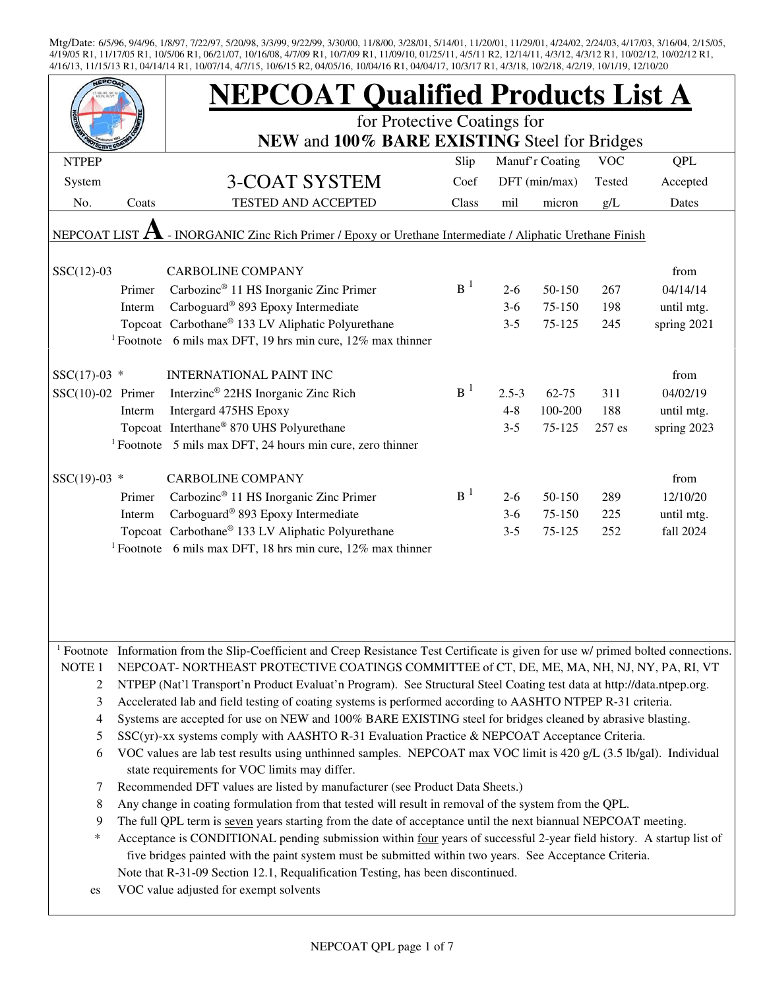|                     |                                                                                                                                                                                                                          | <b>NEPCOAT Qualified Products List A</b>                                                                                                         |                |           |                 |            |             |  |  |
|---------------------|--------------------------------------------------------------------------------------------------------------------------------------------------------------------------------------------------------------------------|--------------------------------------------------------------------------------------------------------------------------------------------------|----------------|-----------|-----------------|------------|-------------|--|--|
|                     |                                                                                                                                                                                                                          | for Protective Coatings for                                                                                                                      |                |           |                 |            |             |  |  |
|                     |                                                                                                                                                                                                                          | NEW and 100% BARE EXISTING Steel for Bridges                                                                                                     |                |           |                 |            |             |  |  |
| <b>NTPEP</b>        |                                                                                                                                                                                                                          |                                                                                                                                                  | Slip           |           | Manuf'r Coating | <b>VOC</b> | QPL         |  |  |
| System              |                                                                                                                                                                                                                          | <b>3-COAT SYSTEM</b>                                                                                                                             | Coef           |           | DFT (min/max)   | Tested     | Accepted    |  |  |
| No.                 | Coats                                                                                                                                                                                                                    | TESTED AND ACCEPTED                                                                                                                              | Class          | mil       | micron          | g/L        | Dates       |  |  |
| NEPCOAT LIST        |                                                                                                                                                                                                                          | - INORGANIC Zinc Rich Primer / Epoxy or Urethane Intermediate / Aliphatic Urethane Finish                                                        |                |           |                 |            |             |  |  |
|                     |                                                                                                                                                                                                                          |                                                                                                                                                  |                |           |                 |            |             |  |  |
| $SSC(12)-03$        |                                                                                                                                                                                                                          | <b>CARBOLINE COMPANY</b>                                                                                                                         |                |           |                 |            | from        |  |  |
|                     | Primer                                                                                                                                                                                                                   | Carbozinc <sup>®</sup> 11 HS Inorganic Zinc Primer                                                                                               | B <sup>1</sup> | $2 - 6$   | 50-150          | 267        | 04/14/14    |  |  |
|                     | Interm                                                                                                                                                                                                                   | Carboguard® 893 Epoxy Intermediate                                                                                                               |                | $3-6$     | 75-150          | 198        | until mtg.  |  |  |
|                     |                                                                                                                                                                                                                          | Topcoat Carbothane® 133 LV Aliphatic Polyurethane                                                                                                |                | $3 - 5$   | 75-125          | 245        | spring 2021 |  |  |
|                     |                                                                                                                                                                                                                          | <sup>1</sup> Footnote 6 mils max DFT, 19 hrs min cure, $12\%$ max thinner                                                                        |                |           |                 |            |             |  |  |
| $SSC(17)-03$ *      |                                                                                                                                                                                                                          | <b>INTERNATIONAL PAINT INC</b>                                                                                                                   |                |           |                 |            | from        |  |  |
| $SSC(10)-02$ Primer |                                                                                                                                                                                                                          | Interzinc <sup>®</sup> 22HS Inorganic Zinc Rich                                                                                                  | B <sup>1</sup> | $2.5 - 3$ | $62 - 75$       | 311        | 04/02/19    |  |  |
|                     | Interm                                                                                                                                                                                                                   | Intergard 475HS Epoxy                                                                                                                            |                | $4 - 8$   | 100-200         | 188        | until mtg.  |  |  |
|                     |                                                                                                                                                                                                                          | Topcoat Interthane® 870 UHS Polyurethane                                                                                                         |                | $3 - 5$   | 75-125          | 257 es     | spring 2023 |  |  |
|                     |                                                                                                                                                                                                                          | <sup>1</sup> Footnote $\,$ 5 mils max DFT, 24 hours min cure, zero thinner                                                                       |                |           |                 |            |             |  |  |
|                     |                                                                                                                                                                                                                          |                                                                                                                                                  |                |           |                 |            |             |  |  |
| $SSC(19)-03$ *      |                                                                                                                                                                                                                          | <b>CARBOLINE COMPANY</b>                                                                                                                         |                |           |                 |            | from        |  |  |
|                     | Primer                                                                                                                                                                                                                   | Carbozinc <sup>®</sup> 11 HS Inorganic Zinc Primer                                                                                               | B <sup>1</sup> | $2 - 6$   | 50-150          | 289        | 12/10/20    |  |  |
|                     | Interm                                                                                                                                                                                                                   | Carboguard <sup>®</sup> 893 Epoxy Intermediate                                                                                                   |                | $3-6$     | 75-150          | 225        | until mtg.  |  |  |
|                     |                                                                                                                                                                                                                          | Topcoat Carbothane® 133 LV Aliphatic Polyurethane                                                                                                |                | $3 - 5$   | 75-125          | 252        | fall 2024   |  |  |
|                     |                                                                                                                                                                                                                          | <sup>1</sup> Footnote 6 mils max DFT, 18 hrs min cure, 12% max thinner                                                                           |                |           |                 |            |             |  |  |
|                     |                                                                                                                                                                                                                          |                                                                                                                                                  |                |           |                 |            |             |  |  |
|                     |                                                                                                                                                                                                                          |                                                                                                                                                  |                |           |                 |            |             |  |  |
|                     |                                                                                                                                                                                                                          |                                                                                                                                                  |                |           |                 |            |             |  |  |
|                     |                                                                                                                                                                                                                          |                                                                                                                                                  |                |           |                 |            |             |  |  |
|                     |                                                                                                                                                                                                                          | <sup>1</sup> Footnote Information from the Slip-Coefficient and Creep Resistance Test Certificate is given for use w/ primed bolted connections. |                |           |                 |            |             |  |  |
| NOTE <sub>1</sub>   |                                                                                                                                                                                                                          | NEPCOAT-NORTHEAST PROTECTIVE COATINGS COMMITTEE of CT, DE, ME, MA, NH, NJ, NY, PA, RI, VT                                                        |                |           |                 |            |             |  |  |
| 2                   |                                                                                                                                                                                                                          | NTPEP (Nat'l Transport'n Product Evaluat'n Program). See Structural Steel Coating test data at http://data.ntpep.org.                            |                |           |                 |            |             |  |  |
| 3                   |                                                                                                                                                                                                                          |                                                                                                                                                  |                |           |                 |            |             |  |  |
| 4                   | Accelerated lab and field testing of coating systems is performed according to AASHTO NTPEP R-31 criteria.<br>Systems are accepted for use on NEW and 100% BARE EXISTING steel for bridges cleaned by abrasive blasting. |                                                                                                                                                  |                |           |                 |            |             |  |  |
| 5                   |                                                                                                                                                                                                                          | $SSC(yr)$ -xx systems comply with AASHTO R-31 Evaluation Practice & NEPCOAT Acceptance Criteria.                                                 |                |           |                 |            |             |  |  |
| 6                   |                                                                                                                                                                                                                          | VOC values are lab test results using unthinned samples. NEPCOAT max VOC limit is 420 g/L (3.5 lb/gal). Individual                               |                |           |                 |            |             |  |  |
|                     |                                                                                                                                                                                                                          | state requirements for VOC limits may differ.                                                                                                    |                |           |                 |            |             |  |  |
| 7                   |                                                                                                                                                                                                                          | Recommended DFT values are listed by manufacturer (see Product Data Sheets.)                                                                     |                |           |                 |            |             |  |  |
| 8                   |                                                                                                                                                                                                                          | Any change in coating formulation from that tested will result in removal of the system from the QPL.                                            |                |           |                 |            |             |  |  |
| 9                   |                                                                                                                                                                                                                          | The full QPL term is seven years starting from the date of acceptance until the next biannual NEPCOAT meeting.                                   |                |           |                 |            |             |  |  |
| *                   |                                                                                                                                                                                                                          | Acceptance is CONDITIONAL pending submission within four years of successful 2-year field history. A startup list of                             |                |           |                 |            |             |  |  |
|                     |                                                                                                                                                                                                                          | five bridges painted with the paint system must be submitted within two years. See Acceptance Criteria.                                          |                |           |                 |            |             |  |  |
|                     |                                                                                                                                                                                                                          | Note that R-31-09 Section 12.1, Requalification Testing, has been discontinued.                                                                  |                |           |                 |            |             |  |  |
| es                  |                                                                                                                                                                                                                          | VOC value adjusted for exempt solvents                                                                                                           |                |           |                 |            |             |  |  |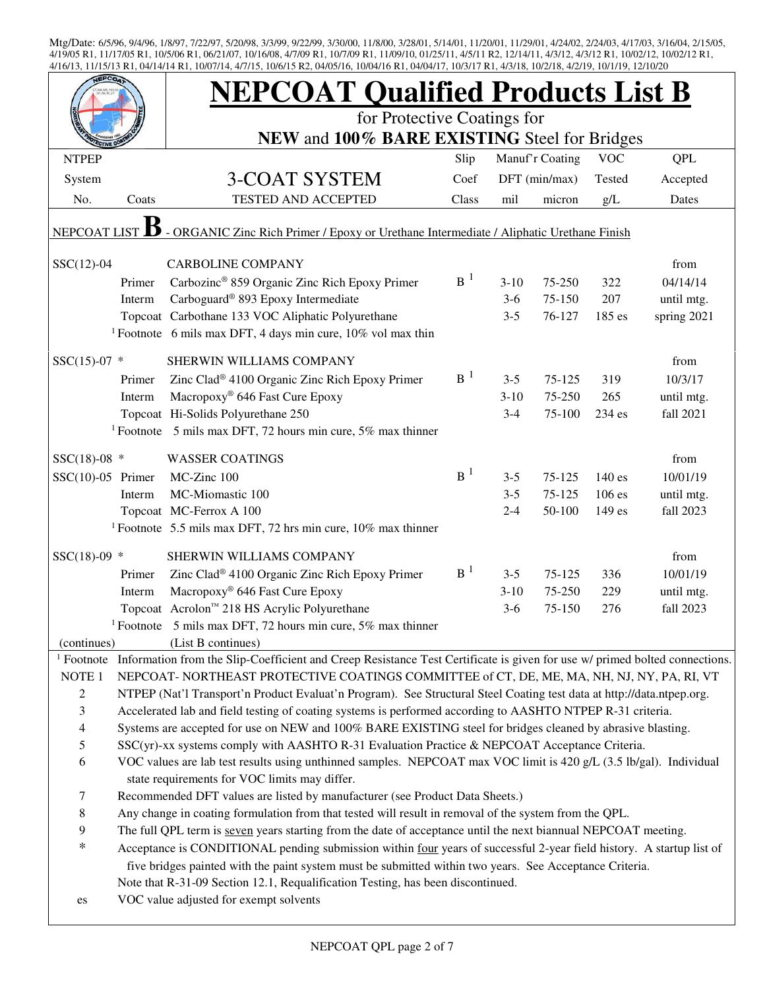|                                                                                                         |                                                                                                                    | <b>NEPCOAT Qualified Products List B</b>                                                                                                         |                |                   |                  |            |                         |  |  |  |
|---------------------------------------------------------------------------------------------------------|--------------------------------------------------------------------------------------------------------------------|--------------------------------------------------------------------------------------------------------------------------------------------------|----------------|-------------------|------------------|------------|-------------------------|--|--|--|
|                                                                                                         |                                                                                                                    | for Protective Coatings for                                                                                                                      |                |                   |                  |            |                         |  |  |  |
|                                                                                                         |                                                                                                                    | NEW and 100% BARE EXISTING Steel for Bridges                                                                                                     |                |                   |                  |            |                         |  |  |  |
| <b>NTPEP</b>                                                                                            |                                                                                                                    |                                                                                                                                                  | Slip           |                   | Manuf'r Coating  | <b>VOC</b> | <b>QPL</b>              |  |  |  |
| System                                                                                                  |                                                                                                                    | <b>3-COAT SYSTEM</b>                                                                                                                             | Coef           |                   | DFT (min/max)    | Tested     | Accepted                |  |  |  |
| No.                                                                                                     | Coats                                                                                                              | TESTED AND ACCEPTED                                                                                                                              | Class          | mil               | micron           | g/L        | Dates                   |  |  |  |
| - ORGANIC Zinc Rich Primer / Epoxy or Urethane Intermediate / Aliphatic Urethane Finish<br>NEPCOAT LIST |                                                                                                                    |                                                                                                                                                  |                |                   |                  |            |                         |  |  |  |
| $SSC(12)-04$                                                                                            |                                                                                                                    | <b>CARBOLINE COMPANY</b>                                                                                                                         |                |                   |                  |            | from                    |  |  |  |
|                                                                                                         | Primer                                                                                                             | Carbozinc <sup>®</sup> 859 Organic Zinc Rich Epoxy Primer                                                                                        | B <sup>1</sup> | $3 - 10$          | 75-250           | 322        | 04/14/14                |  |  |  |
|                                                                                                         | Interm                                                                                                             | Carboguard <sup>®</sup> 893 Epoxy Intermediate                                                                                                   |                | $3-6$             | 75-150           | 207        | until mtg.              |  |  |  |
|                                                                                                         |                                                                                                                    | Topcoat Carbothane 133 VOC Aliphatic Polyurethane                                                                                                |                | $3 - 5$           | 76-127           | 185 es     | spring 2021             |  |  |  |
|                                                                                                         |                                                                                                                    | <sup>1</sup> Footnote 6 mils max DFT, 4 days min cure, $10\%$ vol max thin                                                                       |                |                   |                  |            |                         |  |  |  |
|                                                                                                         |                                                                                                                    | SHERWIN WILLIAMS COMPANY                                                                                                                         |                |                   |                  |            | from                    |  |  |  |
| $SSC(15)-07$ *                                                                                          |                                                                                                                    |                                                                                                                                                  | $B^{-1}$       |                   |                  |            |                         |  |  |  |
|                                                                                                         | Primer                                                                                                             | Zinc Clad® 4100 Organic Zinc Rich Epoxy Primer<br>Macropoxy <sup>®</sup> 646 Fast Cure Epoxy                                                     |                | $3 - 5$<br>$3-10$ | 75-125<br>75-250 | 319<br>265 | 10/3/17                 |  |  |  |
|                                                                                                         | Interm                                                                                                             | Topcoat Hi-Solids Polyurethane 250                                                                                                               |                | $3 - 4$           | 75-100           | 234 es     | until mtg.<br>fall 2021 |  |  |  |
|                                                                                                         |                                                                                                                    | <sup>1</sup> Footnote 5 mils max DFT, 72 hours min cure, 5% max thinner                                                                          |                |                   |                  |            |                         |  |  |  |
|                                                                                                         |                                                                                                                    |                                                                                                                                                  |                |                   |                  |            |                         |  |  |  |
| $SSC(18)-08$ *                                                                                          |                                                                                                                    | <b>WASSER COATINGS</b>                                                                                                                           |                |                   |                  |            | from                    |  |  |  |
| $SSC(10)-05$ Primer                                                                                     |                                                                                                                    | MC-Zinc 100                                                                                                                                      | B <sup>1</sup> | $3 - 5$           | 75-125           | 140 es     | 10/01/19                |  |  |  |
|                                                                                                         | Interm                                                                                                             | MC-Miomastic 100                                                                                                                                 |                | $3 - 5$           | 75-125           | 106 es     | until mtg.              |  |  |  |
|                                                                                                         |                                                                                                                    | Topcoat MC-Ferrox A 100                                                                                                                          |                | $2 - 4$           | 50-100           | 149 es     | fall 2023               |  |  |  |
|                                                                                                         |                                                                                                                    | <sup>1</sup> Footnote 5.5 mils max DFT, 72 hrs min cure, $10\%$ max thinner                                                                      |                |                   |                  |            |                         |  |  |  |
| $SSC(18)-09$ *                                                                                          |                                                                                                                    | SHERWIN WILLIAMS COMPANY                                                                                                                         |                |                   |                  |            | from                    |  |  |  |
|                                                                                                         | Primer                                                                                                             | Zinc Clad® 4100 Organic Zinc Rich Epoxy Primer                                                                                                   | B <sup>1</sup> | $3 - 5$           | 75-125           | 336        | 10/01/19                |  |  |  |
|                                                                                                         | Interm                                                                                                             | Macropoxy <sup>®</sup> 646 Fast Cure Epoxy                                                                                                       |                | $3-10$            | 75-250           | 229        | until mtg.              |  |  |  |
|                                                                                                         |                                                                                                                    | Topcoat Acrolon <sup>™</sup> 218 HS Acrylic Polyurethane                                                                                         |                | $3-6$             | 75-150           | 276        | fall 2023               |  |  |  |
|                                                                                                         |                                                                                                                    | <sup>1</sup> Footnote 5 mils max DFT, 72 hours min cure, 5% max thinner                                                                          |                |                   |                  |            |                         |  |  |  |
| (continues)                                                                                             |                                                                                                                    | (List B continues)                                                                                                                               |                |                   |                  |            |                         |  |  |  |
|                                                                                                         |                                                                                                                    | <sup>1</sup> Footnote Information from the Slip-Coefficient and Creep Resistance Test Certificate is given for use w/ primed bolted connections. |                |                   |                  |            |                         |  |  |  |
| NOTE <sub>1</sub>                                                                                       |                                                                                                                    | NEPCOAT-NORTHEAST PROTECTIVE COATINGS COMMITTEE of CT, DE, ME, MA, NH, NJ, NY, PA, RI, VT                                                        |                |                   |                  |            |                         |  |  |  |
| $\boldsymbol{2}$                                                                                        |                                                                                                                    | NTPEP (Nat'l Transport'n Product Evaluat'n Program). See Structural Steel Coating test data at http://data.ntpep.org.                            |                |                   |                  |            |                         |  |  |  |
| 3                                                                                                       |                                                                                                                    | Accelerated lab and field testing of coating systems is performed according to AASHTO NTPEP R-31 criteria.                                       |                |                   |                  |            |                         |  |  |  |
| $\overline{4}$                                                                                          |                                                                                                                    | Systems are accepted for use on NEW and 100% BARE EXISTING steel for bridges cleaned by abrasive blasting.                                       |                |                   |                  |            |                         |  |  |  |
| $\mathfrak s$                                                                                           |                                                                                                                    | SSC(yr)-xx systems comply with AASHTO R-31 Evaluation Practice & NEPCOAT Acceptance Criteria.                                                    |                |                   |                  |            |                         |  |  |  |
| 6                                                                                                       | VOC values are lab test results using unthinned samples. NEPCOAT max VOC limit is 420 g/L (3.5 lb/gal). Individual |                                                                                                                                                  |                |                   |                  |            |                         |  |  |  |
|                                                                                                         |                                                                                                                    | state requirements for VOC limits may differ.                                                                                                    |                |                   |                  |            |                         |  |  |  |
| 7                                                                                                       |                                                                                                                    | Recommended DFT values are listed by manufacturer (see Product Data Sheets.)                                                                     |                |                   |                  |            |                         |  |  |  |
| $\,8\,$                                                                                                 |                                                                                                                    | Any change in coating formulation from that tested will result in removal of the system from the QPL.                                            |                |                   |                  |            |                         |  |  |  |
| 9<br>$\ast$                                                                                             |                                                                                                                    | The full QPL term is seven years starting from the date of acceptance until the next biannual NEPCOAT meeting.                                   |                |                   |                  |            |                         |  |  |  |
|                                                                                                         |                                                                                                                    | Acceptance is CONDITIONAL pending submission within four years of successful 2-year field history. A startup list of                             |                |                   |                  |            |                         |  |  |  |
|                                                                                                         |                                                                                                                    | five bridges painted with the paint system must be submitted within two years. See Acceptance Criteria.                                          |                |                   |                  |            |                         |  |  |  |
|                                                                                                         |                                                                                                                    | Note that R-31-09 Section 12.1, Requalification Testing, has been discontinued.                                                                  |                |                   |                  |            |                         |  |  |  |
| es                                                                                                      |                                                                                                                    | VOC value adjusted for exempt solvents                                                                                                           |                |                   |                  |            |                         |  |  |  |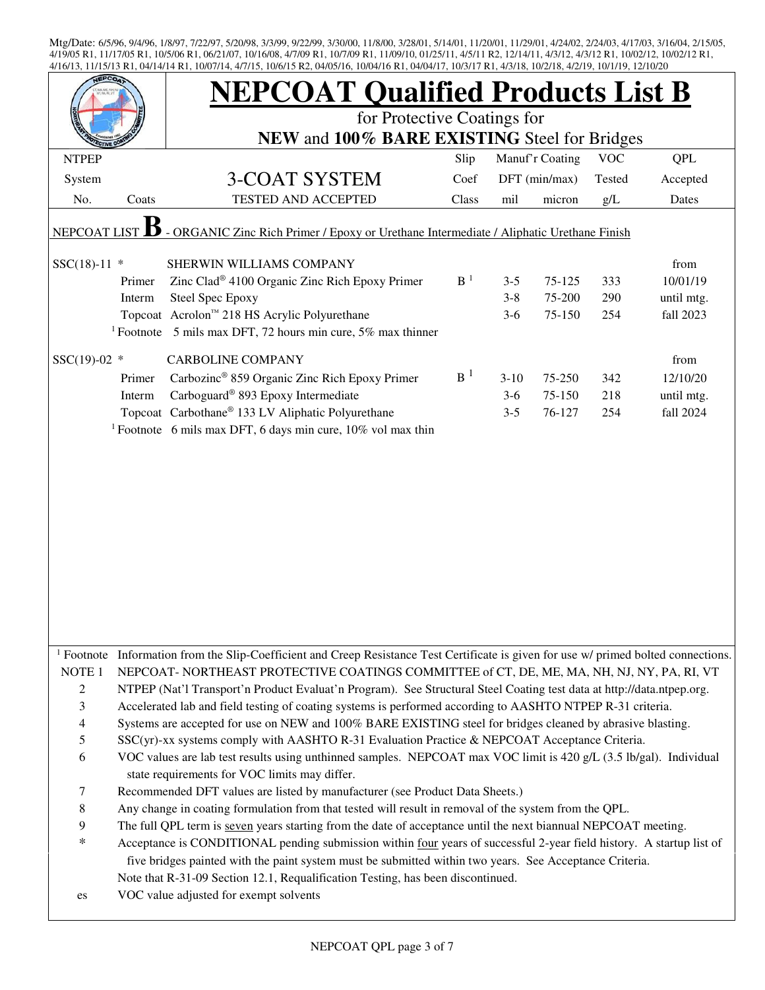|                          |                                                                                                         | <b>NEPCOAT Qualified Products List B</b>                                                                                                         |                |         |                 |            |            |  |  |  |
|--------------------------|---------------------------------------------------------------------------------------------------------|--------------------------------------------------------------------------------------------------------------------------------------------------|----------------|---------|-----------------|------------|------------|--|--|--|
|                          |                                                                                                         | for Protective Coatings for                                                                                                                      |                |         |                 |            |            |  |  |  |
|                          |                                                                                                         | NEW and 100% BARE EXISTING Steel for Bridges                                                                                                     |                |         |                 |            |            |  |  |  |
| <b>NTPEP</b>             |                                                                                                         |                                                                                                                                                  | Slip           |         | Manuf'r Coating | <b>VOC</b> | <b>QPL</b> |  |  |  |
| System                   |                                                                                                         | <b>3-COAT SYSTEM</b>                                                                                                                             | Coef           |         | DFT (min/max)   | Tested     | Accepted   |  |  |  |
| No.                      | Coats                                                                                                   | TESTED AND ACCEPTED                                                                                                                              | Class          | mil     | micron          | g/L        | Dates      |  |  |  |
|                          | - ORGANIC Zinc Rich Primer / Epoxy or Urethane Intermediate / Aliphatic Urethane Finish<br>NEPCOAT LIST |                                                                                                                                                  |                |         |                 |            |            |  |  |  |
| $SSC(18)-11$ *           |                                                                                                         | SHERWIN WILLIAMS COMPANY                                                                                                                         |                |         |                 |            | from       |  |  |  |
|                          | Primer                                                                                                  | Zinc Clad <sup>®</sup> 4100 Organic Zinc Rich Epoxy Primer                                                                                       | B <sup>1</sup> | $3 - 5$ | 75-125          | 333        | 10/01/19   |  |  |  |
|                          | Interm                                                                                                  | <b>Steel Spec Epoxy</b>                                                                                                                          |                | $3 - 8$ | 75-200          | 290        | until mtg. |  |  |  |
|                          |                                                                                                         | Topcoat Acrolon™ 218 HS Acrylic Polyurethane                                                                                                     |                | $3-6$   | 75-150          | 254        | fall 2023  |  |  |  |
|                          |                                                                                                         | <sup>1</sup> Footnote 5 mils max DFT, 72 hours min cure, 5% max thinner                                                                          |                |         |                 |            |            |  |  |  |
| $SSC(19)-02$ *           |                                                                                                         | <b>CARBOLINE COMPANY</b>                                                                                                                         |                |         |                 |            | from       |  |  |  |
|                          | Primer                                                                                                  | Carbozinc® 859 Organic Zinc Rich Epoxy Primer                                                                                                    | B <sup>1</sup> | $3-10$  | 75-250          | 342        | 12/10/20   |  |  |  |
|                          | Interm                                                                                                  | Carboguard <sup>®</sup> 893 Epoxy Intermediate                                                                                                   |                | $3-6$   | 75-150          | 218        | until mtg. |  |  |  |
|                          |                                                                                                         | Topcoat Carbothane® 133 LV Aliphatic Polyurethane                                                                                                |                | $3 - 5$ | 76-127          | 254        | fall 2024  |  |  |  |
|                          |                                                                                                         | <sup>1</sup> Footnote 6 mils max DFT, 6 days min cure, 10% vol max thin                                                                          |                |         |                 |            |            |  |  |  |
|                          |                                                                                                         |                                                                                                                                                  |                |         |                 |            |            |  |  |  |
|                          |                                                                                                         |                                                                                                                                                  |                |         |                 |            |            |  |  |  |
|                          |                                                                                                         |                                                                                                                                                  |                |         |                 |            |            |  |  |  |
|                          |                                                                                                         |                                                                                                                                                  |                |         |                 |            |            |  |  |  |
|                          |                                                                                                         |                                                                                                                                                  |                |         |                 |            |            |  |  |  |
|                          |                                                                                                         |                                                                                                                                                  |                |         |                 |            |            |  |  |  |
|                          |                                                                                                         |                                                                                                                                                  |                |         |                 |            |            |  |  |  |
|                          |                                                                                                         |                                                                                                                                                  |                |         |                 |            |            |  |  |  |
|                          |                                                                                                         |                                                                                                                                                  |                |         |                 |            |            |  |  |  |
|                          |                                                                                                         |                                                                                                                                                  |                |         |                 |            |            |  |  |  |
|                          |                                                                                                         |                                                                                                                                                  |                |         |                 |            |            |  |  |  |
|                          |                                                                                                         | <sup>1</sup> Footnote Information from the Slip-Coefficient and Creep Resistance Test Certificate is given for use w/ primed bolted connections. |                |         |                 |            |            |  |  |  |
| NOTE 1                   |                                                                                                         | NEPCOAT-NORTHEAST PROTECTIVE COATINGS COMMITTEE of CT, DE, ME, MA, NH, NJ, NY, PA, RI, VT                                                        |                |         |                 |            |            |  |  |  |
| $\overline{c}$           |                                                                                                         | NTPEP (Nat'l Transport'n Product Evaluat'n Program). See Structural Steel Coating test data at http://data.ntpep.org.                            |                |         |                 |            |            |  |  |  |
| 3                        |                                                                                                         | Accelerated lab and field testing of coating systems is performed according to AASHTO NTPEP R-31 criteria.                                       |                |         |                 |            |            |  |  |  |
| $\overline{\mathcal{A}}$ |                                                                                                         | Systems are accepted for use on NEW and 100% BARE EXISTING steel for bridges cleaned by abrasive blasting.                                       |                |         |                 |            |            |  |  |  |
| $\mathfrak s$            |                                                                                                         | SSC(yr)-xx systems comply with AASHTO R-31 Evaluation Practice & NEPCOAT Acceptance Criteria.                                                    |                |         |                 |            |            |  |  |  |
| 6                        |                                                                                                         | VOC values are lab test results using unthinned samples. NEPCOAT max VOC limit is 420 g/L (3.5 lb/gal). Individual                               |                |         |                 |            |            |  |  |  |
|                          |                                                                                                         | state requirements for VOC limits may differ.                                                                                                    |                |         |                 |            |            |  |  |  |
| 7                        |                                                                                                         | Recommended DFT values are listed by manufacturer (see Product Data Sheets.)                                                                     |                |         |                 |            |            |  |  |  |
| $\,$ 8 $\,$              |                                                                                                         | Any change in coating formulation from that tested will result in removal of the system from the QPL.                                            |                |         |                 |            |            |  |  |  |
| 9                        |                                                                                                         | The full QPL term is seven years starting from the date of acceptance until the next biannual NEPCOAT meeting.                                   |                |         |                 |            |            |  |  |  |
| $\ast$                   |                                                                                                         | Acceptance is CONDITIONAL pending submission within four years of successful 2-year field history. A startup list of                             |                |         |                 |            |            |  |  |  |
|                          |                                                                                                         | five bridges painted with the paint system must be submitted within two years. See Acceptance Criteria.                                          |                |         |                 |            |            |  |  |  |
|                          |                                                                                                         | Note that R-31-09 Section 12.1, Requalification Testing, has been discontinued.                                                                  |                |         |                 |            |            |  |  |  |
| es                       |                                                                                                         | VOC value adjusted for exempt solvents                                                                                                           |                |         |                 |            |            |  |  |  |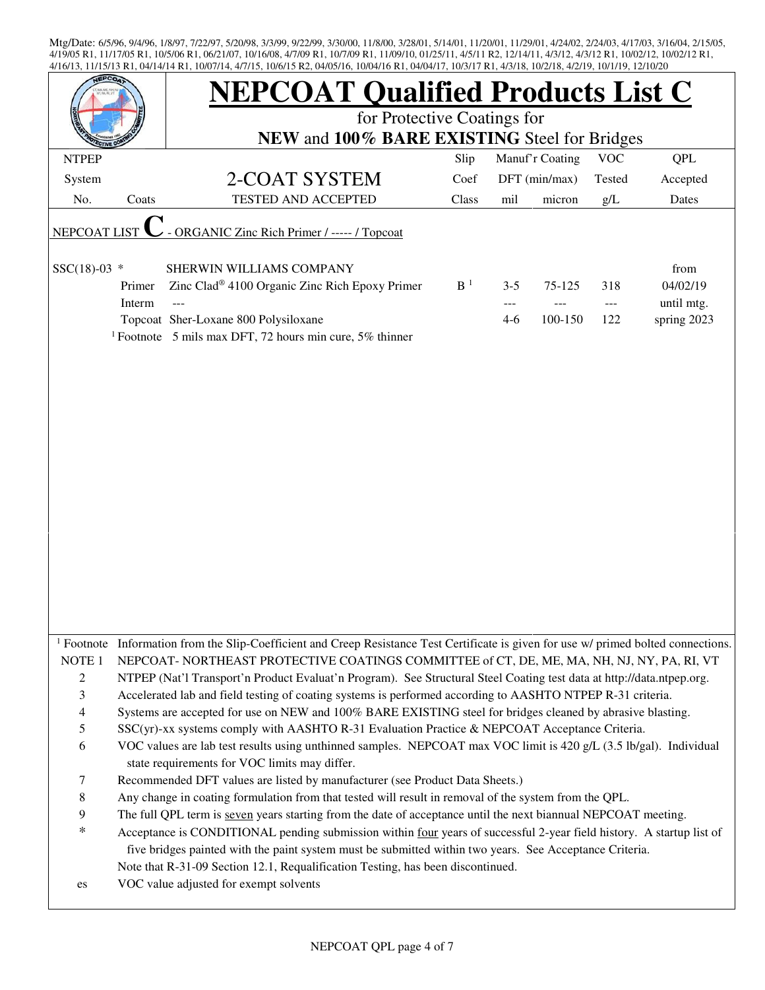|                                 |                  | <b>NEPCOAT Qualified Products List C</b>                                                                                                                                                                     |                |                         |                   |                     |                                               |  |  |  |
|---------------------------------|------------------|--------------------------------------------------------------------------------------------------------------------------------------------------------------------------------------------------------------|----------------|-------------------------|-------------------|---------------------|-----------------------------------------------|--|--|--|
|                                 |                  | for Protective Coatings for                                                                                                                                                                                  |                |                         |                   |                     |                                               |  |  |  |
|                                 |                  | NEW and 100% BARE EXISTING Steel for Bridges                                                                                                                                                                 |                |                         |                   |                     |                                               |  |  |  |
| <b>NTPEP</b>                    |                  |                                                                                                                                                                                                              | Slip           |                         | Manuf'r Coating   | <b>VOC</b>          | <b>QPL</b>                                    |  |  |  |
| System                          |                  | 2-COAT SYSTEM                                                                                                                                                                                                | Coef           |                         | DFT (min/max)     | Tested              | Accepted                                      |  |  |  |
| No.                             | Coats            | <b>TESTED AND ACCEPTED</b>                                                                                                                                                                                   | Class          | mil                     | micron            | g/L                 | Dates                                         |  |  |  |
| <b>NEPCOAT LIST</b>             |                  | <b>ORGANIC Zinc Rich Primer / ----- / Topcoat</b>                                                                                                                                                            |                |                         |                   |                     |                                               |  |  |  |
| $SSC(18)-03$ *                  | Primer<br>Interm | SHERWIN WILLIAMS COMPANY<br>Zinc Clad <sup>®</sup> 4100 Organic Zinc Rich Epoxy Primer<br>---<br>Topcoat Sher-Loxane 800 Polysiloxane<br><sup>1</sup> Footnote 5 mils max DFT, 72 hours min cure, 5% thinner | B <sup>1</sup> | $3 - 5$<br>---<br>$4-6$ | 75-125<br>100-150 | 318<br>$---$<br>122 | from<br>04/02/19<br>until mtg.<br>spring 2023 |  |  |  |
|                                 |                  |                                                                                                                                                                                                              |                |                         |                   |                     |                                               |  |  |  |
|                                 |                  |                                                                                                                                                                                                              |                |                         |                   |                     |                                               |  |  |  |
|                                 |                  |                                                                                                                                                                                                              |                |                         |                   |                     |                                               |  |  |  |
|                                 |                  |                                                                                                                                                                                                              |                |                         |                   |                     |                                               |  |  |  |
|                                 |                  |                                                                                                                                                                                                              |                |                         |                   |                     |                                               |  |  |  |
|                                 |                  | <sup>1</sup> Footnote Information from the Slip-Coefficient and Creep Resistance Test Certificate is given for use $w$ primed bolted connections.                                                            |                |                         |                   |                     |                                               |  |  |  |
| NOTE $1$                        |                  | NEPCOAT-NORTHEAST PROTECTIVE COATINGS COMMITTEE of CT, DE, ME, MA, NH, NJ, NY, PA, RI, VT                                                                                                                    |                |                         |                   |                     |                                               |  |  |  |
| $\sqrt{2}$                      |                  | NTPEP (Nat'l Transport'n Product Evaluat'n Program). See Structural Steel Coating test data at http://data.ntpep.org.                                                                                        |                |                         |                   |                     |                                               |  |  |  |
| $\mathfrak{Z}$                  |                  | Accelerated lab and field testing of coating systems is performed according to AASHTO NTPEP R-31 criteria.                                                                                                   |                |                         |                   |                     |                                               |  |  |  |
| $\overline{4}$<br>$\mathfrak s$ |                  | Systems are accepted for use on NEW and 100% BARE EXISTING steel for bridges cleaned by abrasive blasting.<br>SSC(yr)-xx systems comply with AASHTO R-31 Evaluation Practice & NEPCOAT Acceptance Criteria.  |                |                         |                   |                     |                                               |  |  |  |
| 6                               |                  | VOC values are lab test results using unthinned samples. NEPCOAT max VOC limit is 420 g/L (3.5 lb/gal). Individual                                                                                           |                |                         |                   |                     |                                               |  |  |  |
|                                 |                  | state requirements for VOC limits may differ.                                                                                                                                                                |                |                         |                   |                     |                                               |  |  |  |
| $\tau$                          |                  | Recommended DFT values are listed by manufacturer (see Product Data Sheets.)                                                                                                                                 |                |                         |                   |                     |                                               |  |  |  |
| $\,8\,$                         |                  | Any change in coating formulation from that tested will result in removal of the system from the QPL.                                                                                                        |                |                         |                   |                     |                                               |  |  |  |
| $\overline{9}$                  |                  | The full QPL term is seven years starting from the date of acceptance until the next biannual NEPCOAT meeting.                                                                                               |                |                         |                   |                     |                                               |  |  |  |
| $\ast$                          |                  | Acceptance is CONDITIONAL pending submission within four years of successful 2-year field history. A startup list of                                                                                         |                |                         |                   |                     |                                               |  |  |  |
|                                 |                  | five bridges painted with the paint system must be submitted within two years. See Acceptance Criteria.                                                                                                      |                |                         |                   |                     |                                               |  |  |  |
|                                 |                  | Note that R-31-09 Section 12.1, Requalification Testing, has been discontinued.                                                                                                                              |                |                         |                   |                     |                                               |  |  |  |
| es                              |                  | VOC value adjusted for exempt solvents                                                                                                                                                                       |                |                         |                   |                     |                                               |  |  |  |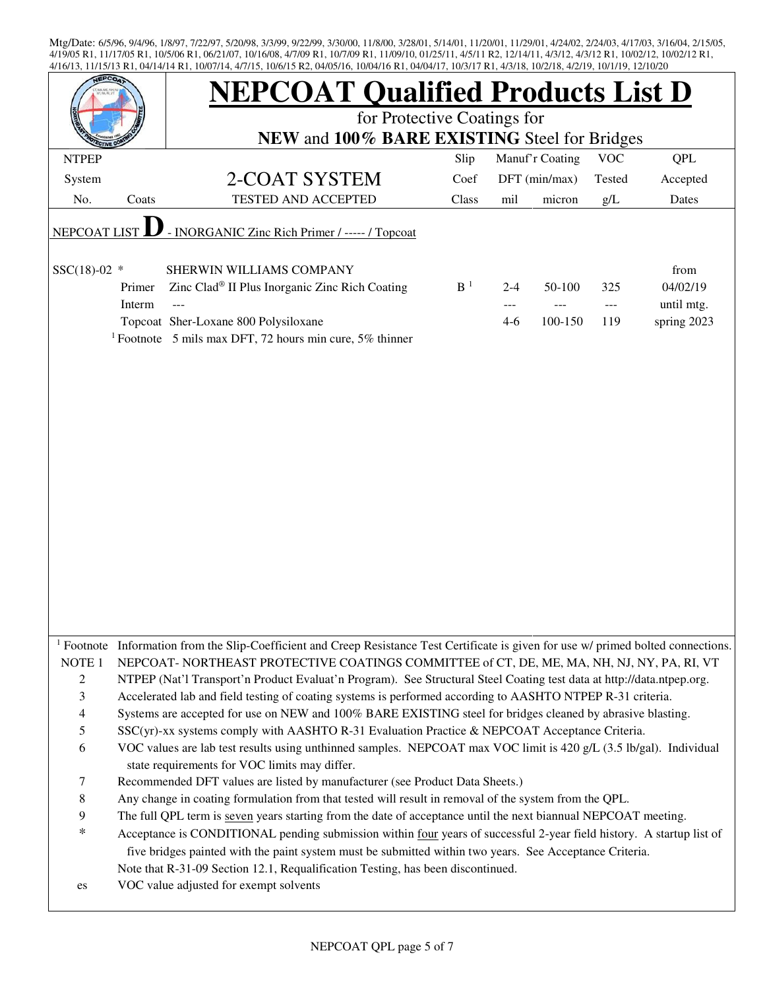| EPCO.                    |        | <b>NEPCOAT Qualified Products List D</b>                                                                                                         |                |         |                 |            |             |  |  |  |
|--------------------------|--------|--------------------------------------------------------------------------------------------------------------------------------------------------|----------------|---------|-----------------|------------|-------------|--|--|--|
|                          |        | for Protective Coatings for                                                                                                                      |                |         |                 |            |             |  |  |  |
|                          |        | NEW and 100% BARE EXISTING Steel for Bridges                                                                                                     |                |         |                 |            |             |  |  |  |
| <b>NTPEP</b>             |        |                                                                                                                                                  | Slip           |         | Manuf'r Coating | <b>VOC</b> | <b>QPL</b>  |  |  |  |
| System                   |        | 2-COAT SYSTEM                                                                                                                                    | Coef           |         | DFT (min/max)   | Tested     | Accepted    |  |  |  |
| No.                      | Coats  | <b>TESTED AND ACCEPTED</b>                                                                                                                       | Class          | mil     | micron          | g/L        | Dates       |  |  |  |
| <b>NEPCOAT LIST</b>      |        | - INORGANIC Zinc Rich Primer / ----- / Topcoat                                                                                                   |                |         |                 |            |             |  |  |  |
|                          |        |                                                                                                                                                  |                |         |                 |            |             |  |  |  |
| $SSC(18)-02$ *           |        | SHERWIN WILLIAMS COMPANY                                                                                                                         |                |         |                 |            | from        |  |  |  |
|                          | Primer | Zinc Clad® II Plus Inorganic Zinc Rich Coating                                                                                                   | B <sup>1</sup> | $2 - 4$ | 50-100          | 325        | 04/02/19    |  |  |  |
|                          | Interm |                                                                                                                                                  |                |         |                 |            | until mtg.  |  |  |  |
|                          |        | Topcoat Sher-Loxane 800 Polysiloxane                                                                                                             |                | $4-6$   | 100-150         | 119        | spring 2023 |  |  |  |
|                          |        | <sup>1</sup> Footnote 5 mils max DFT, 72 hours min cure, 5% thinner                                                                              |                |         |                 |            |             |  |  |  |
|                          |        |                                                                                                                                                  |                |         |                 |            |             |  |  |  |
|                          |        |                                                                                                                                                  |                |         |                 |            |             |  |  |  |
|                          |        |                                                                                                                                                  |                |         |                 |            |             |  |  |  |
|                          |        |                                                                                                                                                  |                |         |                 |            |             |  |  |  |
|                          |        |                                                                                                                                                  |                |         |                 |            |             |  |  |  |
|                          |        |                                                                                                                                                  |                |         |                 |            |             |  |  |  |
|                          |        |                                                                                                                                                  |                |         |                 |            |             |  |  |  |
|                          |        |                                                                                                                                                  |                |         |                 |            |             |  |  |  |
|                          |        |                                                                                                                                                  |                |         |                 |            |             |  |  |  |
|                          |        |                                                                                                                                                  |                |         |                 |            |             |  |  |  |
|                          |        |                                                                                                                                                  |                |         |                 |            |             |  |  |  |
|                          |        |                                                                                                                                                  |                |         |                 |            |             |  |  |  |
|                          |        |                                                                                                                                                  |                |         |                 |            |             |  |  |  |
|                          |        |                                                                                                                                                  |                |         |                 |            |             |  |  |  |
|                          |        |                                                                                                                                                  |                |         |                 |            |             |  |  |  |
|                          |        |                                                                                                                                                  |                |         |                 |            |             |  |  |  |
|                          |        | <sup>1</sup> Footnote Information from the Slip-Coefficient and Creep Resistance Test Certificate is given for use w/ primed bolted connections. |                |         |                 |            |             |  |  |  |
| NOTE <sub>1</sub>        |        | NEPCOAT-NORTHEAST PROTECTIVE COATINGS COMMITTEE of CT, DE, ME, MA, NH, NJ, NY, PA, RI, VT                                                        |                |         |                 |            |             |  |  |  |
| $\overline{c}$           |        | NTPEP (Nat'l Transport'n Product Evaluat'n Program). See Structural Steel Coating test data at http://data.ntpep.org.                            |                |         |                 |            |             |  |  |  |
| 3                        |        | Accelerated lab and field testing of coating systems is performed according to AASHTO NTPEP R-31 criteria.                                       |                |         |                 |            |             |  |  |  |
| $\overline{\mathcal{A}}$ |        | Systems are accepted for use on NEW and 100% BARE EXISTING steel for bridges cleaned by abrasive blasting.                                       |                |         |                 |            |             |  |  |  |
| 5                        |        | SSC(yr)-xx systems comply with AASHTO R-31 Evaluation Practice & NEPCOAT Acceptance Criteria.                                                    |                |         |                 |            |             |  |  |  |
| 6                        |        | VOC values are lab test results using unthinned samples. NEPCOAT max VOC limit is 420 g/L (3.5 lb/gal). Individual                               |                |         |                 |            |             |  |  |  |
|                          |        | state requirements for VOC limits may differ.                                                                                                    |                |         |                 |            |             |  |  |  |
| 7                        |        | Recommended DFT values are listed by manufacturer (see Product Data Sheets.)                                                                     |                |         |                 |            |             |  |  |  |
| 8                        |        | Any change in coating formulation from that tested will result in removal of the system from the QPL.                                            |                |         |                 |            |             |  |  |  |
| 9                        |        | The full QPL term is seven years starting from the date of acceptance until the next biannual NEPCOAT meeting.                                   |                |         |                 |            |             |  |  |  |
| *                        |        | Acceptance is CONDITIONAL pending submission within four years of successful 2-year field history. A startup list of                             |                |         |                 |            |             |  |  |  |
|                          |        | five bridges painted with the paint system must be submitted within two years. See Acceptance Criteria.                                          |                |         |                 |            |             |  |  |  |
|                          |        | Note that R-31-09 Section 12.1, Requalification Testing, has been discontinued.                                                                  |                |         |                 |            |             |  |  |  |
| es                       |        | VOC value adjusted for exempt solvents                                                                                                           |                |         |                 |            |             |  |  |  |
|                          |        |                                                                                                                                                  |                |         |                 |            |             |  |  |  |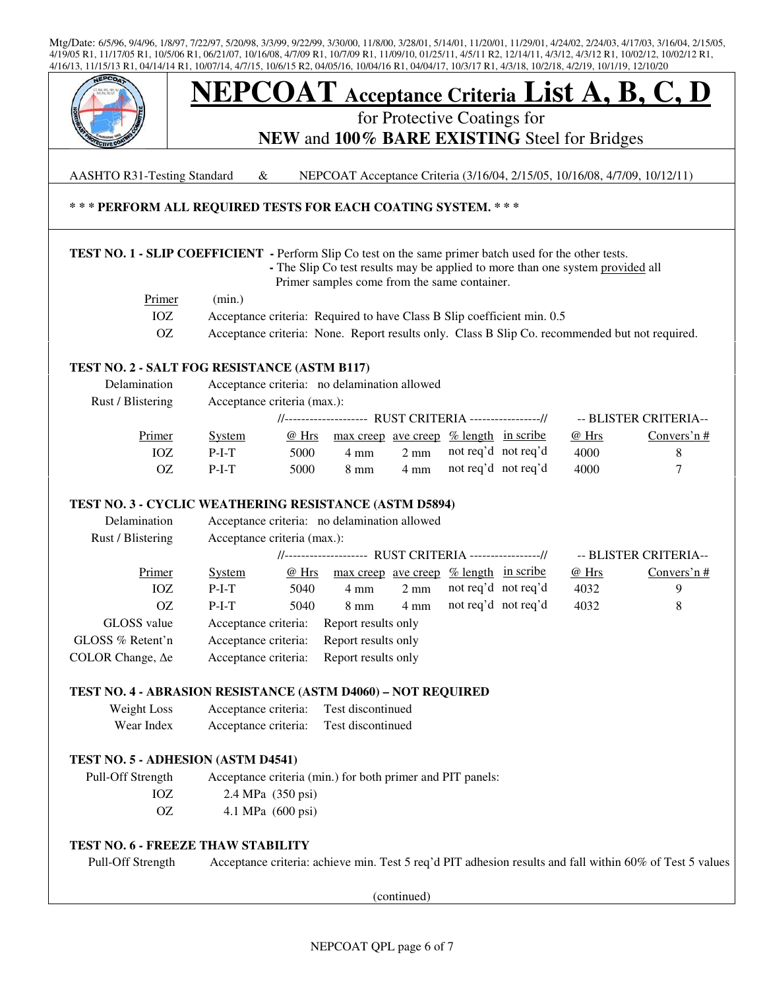